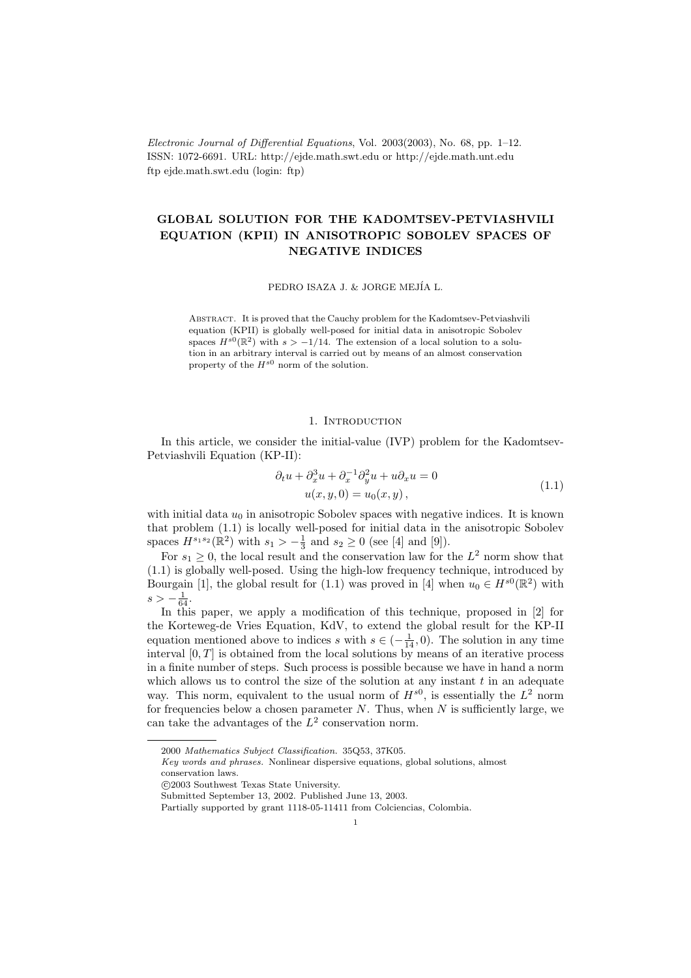Electronic Journal of Differential Equations, Vol. 2003(2003), No. 68, pp. 1–12. ISSN: 1072-6691. URL: http://ejde.math.swt.edu or http://ejde.math.unt.edu ftp ejde.math.swt.edu (login: ftp)

# GLOBAL SOLUTION FOR THE KADOMTSEV-PETVIASHVILI EQUATION (KPII) IN ANISOTROPIC SOBOLEV SPACES OF NEGATIVE INDICES

PEDRO ISAZA J. & JORGE MEJÍA L.

Abstract. It is proved that the Cauchy problem for the Kadomtsev-Petviashvili equation (KPII) is globally well-posed for initial data in anisotropic Sobolev spaces  $H^{s0}(\mathbb{R}^2)$  with  $s > -1/14$ . The extension of a local solution to a solution in an arbitrary interval is carried out by means of an almost conservation property of the  $H^{s0}$  norm of the solution.

### 1. INTRODUCTION

In this article, we consider the initial-value (IVP) problem for the Kadomtsev-Petviashvili Equation (KP-II):

$$
\partial_t u + \partial_x^3 u + \partial_x^{-1} \partial_y^2 u + u \partial_x u = 0
$$
  
 
$$
u(x, y, 0) = u_0(x, y),
$$
 (1.1)

with initial data  $u_0$  in anisotropic Sobolev spaces with negative indices. It is known that problem (1.1) is locally well-posed for initial data in the anisotropic Sobolev spaces  $H^{s_1 s_2}(\mathbb{R}^2)$  with  $s_1 > -\frac{1}{3}$  and  $s_2 \ge 0$  (see [4] and [9]).

For  $s_1 \geq 0$ , the local result and the conservation law for the  $L^2$  norm show that (1.1) is globally well-posed. Using the high-low frequency technique, introduced by Bourgain [1], the global result for (1.1) was proved in [4] when  $u_0 \in H^{s0}(\mathbb{R}^2)$  with  $s > -\frac{1}{64}.$ 

In this paper, we apply a modification of this technique, proposed in [2] for the Korteweg-de Vries Equation, KdV, to extend the global result for the KP-II equation mentioned above to indices s with  $s \in (-\frac{1}{14}, 0)$ . The solution in any time interval  $[0, T]$  is obtained from the local solutions by means of an iterative process in a finite number of steps. Such process is possible because we have in hand a norm which allows us to control the size of the solution at any instant  $t$  in an adequate way. This norm, equivalent to the usual norm of  $H^{s0}$ , is essentially the  $L^2$  norm for frequencies below a chosen parameter  $N$ . Thus, when  $N$  is sufficiently large, we can take the advantages of the  $L^2$  conservation norm.

<sup>2000</sup> Mathematics Subject Classification. 35Q53, 37K05.

Key words and phrases. Nonlinear dispersive equations, global solutions, almost conservation laws.

c 2003 Southwest Texas State University.

Submitted September 13, 2002. Published June 13, 2003.

Partially supported by grant 1118-05-11411 from Colciencias, Colombia.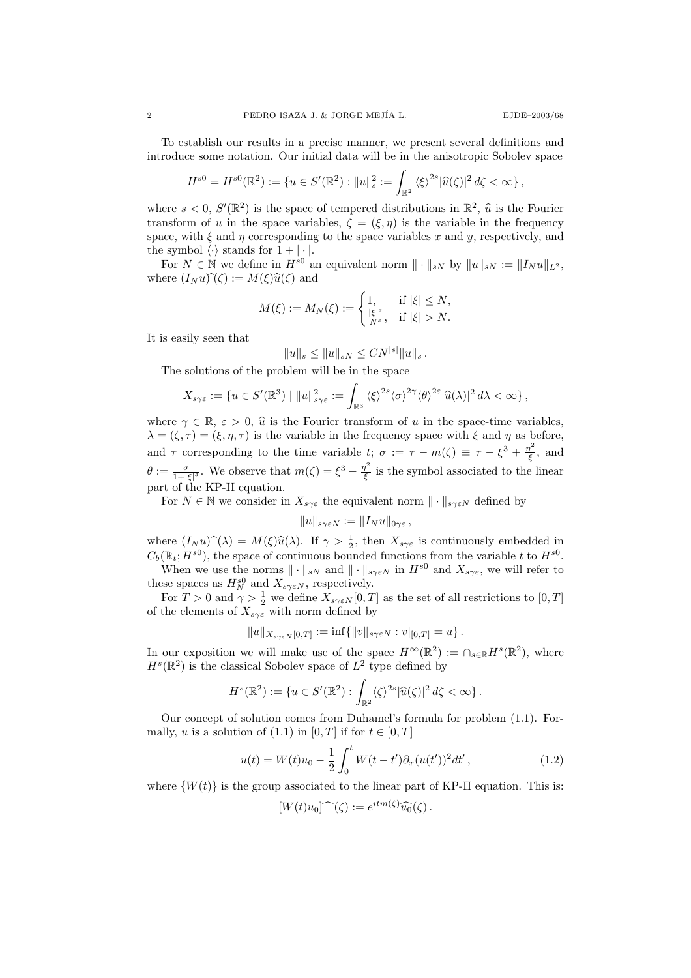To establish our results in a precise manner, we present several definitions and introduce some notation. Our initial data will be in the anisotropic Sobolev space

$$
H^{s0} = H^{s0}(\mathbb{R}^2) := \{ u \in S'(\mathbb{R}^2) : ||u||_s^2 := \int_{\mathbb{R}^2} \langle \xi \rangle^{2s} |\widehat{u}(\zeta)|^2 d\zeta < \infty \},
$$

where  $s < 0$ ,  $S'(\mathbb{R}^2)$  is the space of tempered distributions in  $\mathbb{R}^2$ ,  $\hat{u}$  is the Fourier<br>transform of u in the space variables  $\hat{f} = (\hat{\xi}, \hat{u})$  is the variable in the frequency transform of u in the space variables,  $\zeta = (\xi, \eta)$  is the variable in the frequency space, with  $\xi$  and  $\eta$  corresponding to the space variables x and y, respectively, and the symbol  $\langle \cdot \rangle$  stands for  $1 + |\cdot|$ .

For  $N \in \mathbb{N}$  we define in  $H^{s0}$  an equivalent norm  $\|\cdot\|_{sN}$  by  $\|u\|_{sN} := \|I_N u\|_{L^2}$ , where  $(I_N u)\hat{ }(\zeta) := M(\xi)\hat{u}(\zeta)$  and

$$
M(\xi) := M_N(\xi) := \begin{cases} 1, & \text{if } |\xi| \le N, \\ \frac{|\xi|^s}{N^s}, & \text{if } |\xi| > N. \end{cases}
$$

It is easily seen that

$$
||u||_s \leq ||u||_{sN} \leq CN^{|s|}||u||_s.
$$

The solutions of the problem will be in the space

$$
X_{s\gamma\varepsilon} := \{ u \in S'(\mathbb{R}^3) \mid ||u||^2_{s\gamma\varepsilon} := \int_{\mathbb{R}^3} \langle \xi \rangle^{2s} \langle \sigma \rangle^{2\gamma} \langle \theta \rangle^{2\varepsilon} |\widehat{u}(\lambda)|^2 d\lambda < \infty \},
$$

where  $\gamma \in \mathbb{R}$ ,  $\varepsilon > 0$ ,  $\hat{u}$  is the Fourier transform of u in the space-time variables,  $\lambda = (\zeta, \tau) = (\xi, \eta, \tau)$  is the variable in the frequency space with  $\xi$  and  $\eta$  as before, and  $\tau$  corresponding to the time variable  $t; \sigma := \tau - m(\zeta) \equiv \tau - \xi^3 + \frac{\eta^2}{\xi}$  $\frac{\gamma}{\xi}$ , and  $\theta := \frac{\sigma}{1 + |\xi|^3}$ . We observe that  $m(\zeta) = \xi^3 - \frac{\eta^2}{\xi}$  $\frac{1}{\xi}$  is the symbol associated to the linear part of the KP-II equation.

For  $N \in \mathbb{N}$  we consider in  $X_{s\gamma\varepsilon}$  the equivalent norm  $\|\cdot\|_{s\gamma\varepsilon N}$  defined by

$$
||u||_{s\gamma\varepsilon N}:=||I_N u||_{0\gamma\varepsilon},
$$

where  $(I_N u) \hat{ } (\lambda) = M(\xi) \hat{u}(\lambda)$ . If  $\gamma > \frac{1}{2}$ , then  $X_{s\gamma\xi}$  is continuously embedded in  $C(\mathbb{R} : H^{s_0})$ , the gross of sontinuous bounded functions from the variable t to  $H^{s_0}$ .  $C_b(\mathbb{R}_t; H^{s0})$ , the space of continuous bounded functions from the variable t to  $H^{s0}$ . When we use the norms  $\|\cdot\|_{sN}$  and  $\|\cdot\|_{s\gamma\epsilon N}$  in  $H^{s0}$  and  $X_{s\gamma\epsilon}$ , we will refer to

these spaces as  $H_N^{s0}$  and  $X_{s\gamma \varepsilon N}$ , respectively.

For  $T > 0$  and  $\gamma > \frac{1}{2}$  we define  $X_{s\gamma \in N}[0,T]$  as the set of all restrictions to  $[0,T]$ of the elements of  $X_{s\gamma\varepsilon}$  with norm defined by

$$
||u||_{X_{s\gamma\epsilon N}[0,T]} := \inf \{ ||v||_{s\gamma\epsilon N} : v|_{[0,T]} = u \}.
$$

In our exposition we will make use of the space  $H^{\infty}(\mathbb{R}^2) := \bigcap_{s \in \mathbb{R}} H^s(\mathbb{R}^2)$ , where  $H<sup>s</sup>(\mathbb{R}<sup>2</sup>)$  is the classical Sobolev space of  $L<sup>2</sup>$  type defined by

$$
H^{s}(\mathbb{R}^{2}) := \{ u \in S'(\mathbb{R}^{2}) : \int_{\mathbb{R}^{2}} \langle \zeta \rangle^{2s} |\widehat{u}(\zeta)|^{2} d\zeta < \infty \}.
$$

Our concept of solution comes from Duhamel's formula for problem (1.1). Formally, u is a solution of  $(1.1)$  in  $[0, T]$  if for  $t \in [0, T]$ 

$$
u(t) = W(t)u_0 - \frac{1}{2} \int_0^t W(t - t') \partial_x (u(t'))^2 dt', \qquad (1.2)
$$

where  $\{W(t)\}\$ is the group associated to the linear part of KP-II equation. This is:

$$
[W(t)u_0]^\frown(\zeta) := e^{itm(\zeta)}\widehat{u_0}(\zeta).
$$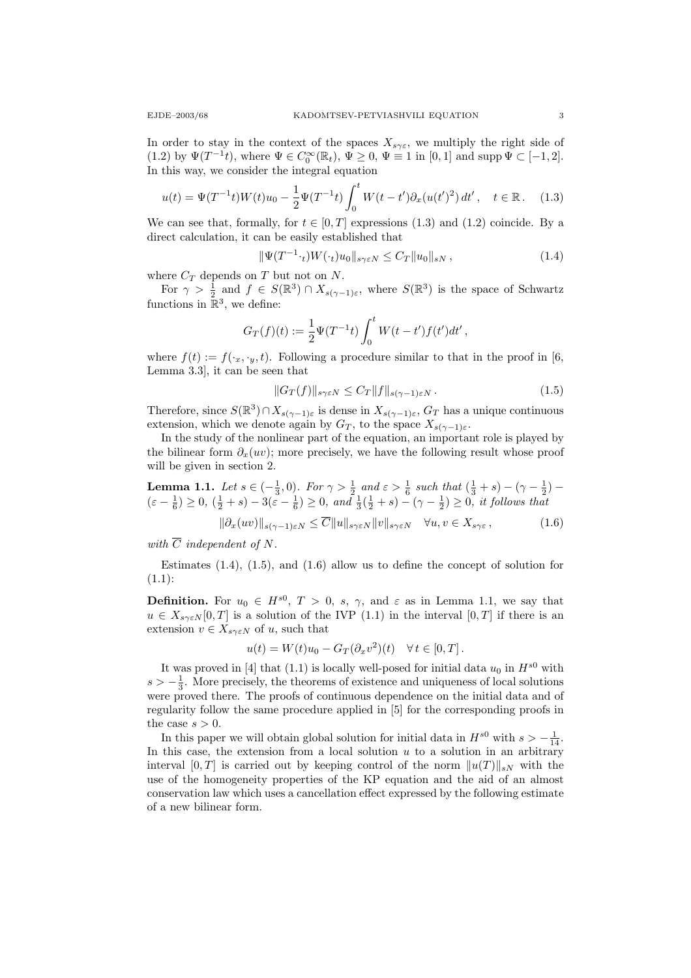In order to stay in the context of the spaces  $X_{s\gamma\varepsilon}$ , we multiply the right side of (1.2) by  $\Psi(T^{-1}t)$ , where  $\Psi \in C_0^{\infty}(\mathbb{R}_t)$ ,  $\Psi \ge 0$ ,  $\Psi \equiv 1$  in  $[0,1]$  and supp  $\Psi \subset [-1,2]$ . In this way, we consider the integral equation

$$
u(t) = \Psi(T^{-1}t)W(t)u_0 - \frac{1}{2}\Psi(T^{-1}t)\int_0^t W(t-t')\partial_x(u(t')^2) dt', \quad t \in \mathbb{R}.
$$
 (1.3)

We can see that, formally, for  $t \in [0, T]$  expressions (1.3) and (1.2) coincide. By a direct calculation, it can be easily established that

$$
\|\Psi(T^{-1} \cdot_t)W(\cdot_t)u_0\|_{s\gamma \varepsilon N} \le C_T \|u_0\|_{sN},\tag{1.4}
$$

where  $C_T$  depends on T but not on N.

For  $\gamma > \frac{1}{2}$  and  $f \in S(\mathbb{R}^3) \cap X_{s(\gamma-1)\varepsilon}$ , where  $S(\mathbb{R}^3)$  is the space of Schwartz functions in  $\mathbb{R}^3$ , we define:

$$
G_T(f)(t) := \frac{1}{2} \Psi(T^{-1}t) \int_0^t W(t - t') f(t') dt',
$$

where  $f(t) := f(\cdot_x, \cdot_y, t)$ . Following a procedure similar to that in the proof in [6, Lemma 3.3], it can be seen that

$$
||G_T(f)||_{s\gamma\epsilon N} \le C_T ||f||_{s(\gamma-1)\epsilon N}.
$$
\n(1.5)

Therefore, since  $S(\mathbb{R}^3) \cap X_{s(\gamma-1)\varepsilon}$  is dense in  $X_{s(\gamma-1)\varepsilon}$ ,  $G_T$  has a unique continuous extension, which we denote again by  $G_T$ , to the space  $X_{s(\gamma-1)\varepsilon}$ .

In the study of the nonlinear part of the equation, an important role is played by the bilinear form  $\partial_x(uv)$ ; more precisely, we have the following result whose proof will be given in section 2.

**Lemma 1.1.** Let  $s \in (-\frac{1}{3}, 0)$ . For  $\gamma > \frac{1}{2}$  and  $\varepsilon > \frac{1}{6}$  such that  $(\frac{1}{3} + s) - (\gamma - \frac{1}{2})$  $(\varepsilon - \frac{1}{6}) \ge 0$ ,  $(\frac{1}{2} + s) - 3(\varepsilon - \frac{1}{6}) \ge 0$ , and  $\frac{1}{3}(\frac{1}{2} + s) - (\gamma - \frac{1}{2}) \ge 0$ , it follows that

$$
\|\partial_x(uv)\|_{s(\gamma-1)\varepsilon N} \le \overline{C} \|u\|_{s\gamma\varepsilon N} \|v\|_{s\gamma\varepsilon N} \quad \forall u, v \in X_{s\gamma\varepsilon},\tag{1.6}
$$

with  $\overline{C}$  independent of N.

Estimates  $(1.4)$ ,  $(1.5)$ , and  $(1.6)$  allow us to define the concept of solution for  $(1.1):$ 

**Definition.** For  $u_0 \in H^{s0}$ ,  $T > 0$ , s,  $\gamma$ , and  $\varepsilon$  as in Lemma 1.1, we say that  $u \in X_{s\gamma\epsilon N}[0,T]$  is a solution of the IVP (1.1) in the interval  $[0,T]$  if there is an extension  $v \in X_{s\gamma \varepsilon N}$  of u, such that

$$
u(t) = W(t)u_0 - G_T(\partial_x v^2)(t) \quad \forall t \in [0, T].
$$

It was proved in [4] that (1.1) is locally well-posed for initial data  $u_0$  in  $H^{s0}$  with  $s > -\frac{1}{3}$ . More precisely, the theorems of existence and uniqueness of local solutions were proved there. The proofs of continuous dependence on the initial data and of regularity follow the same procedure applied in [5] for the corresponding proofs in the case  $s > 0$ .

In this paper we will obtain global solution for initial data in  $H^{s0}$  with  $s > -\frac{1}{14}$ . In this case, the extension from a local solution  $u$  to a solution in an arbitrary interval  $[0, T]$  is carried out by keeping control of the norm  $||u(T)||_{sN}$  with the use of the homogeneity properties of the KP equation and the aid of an almost conservation law which uses a cancellation effect expressed by the following estimate of a new bilinear form.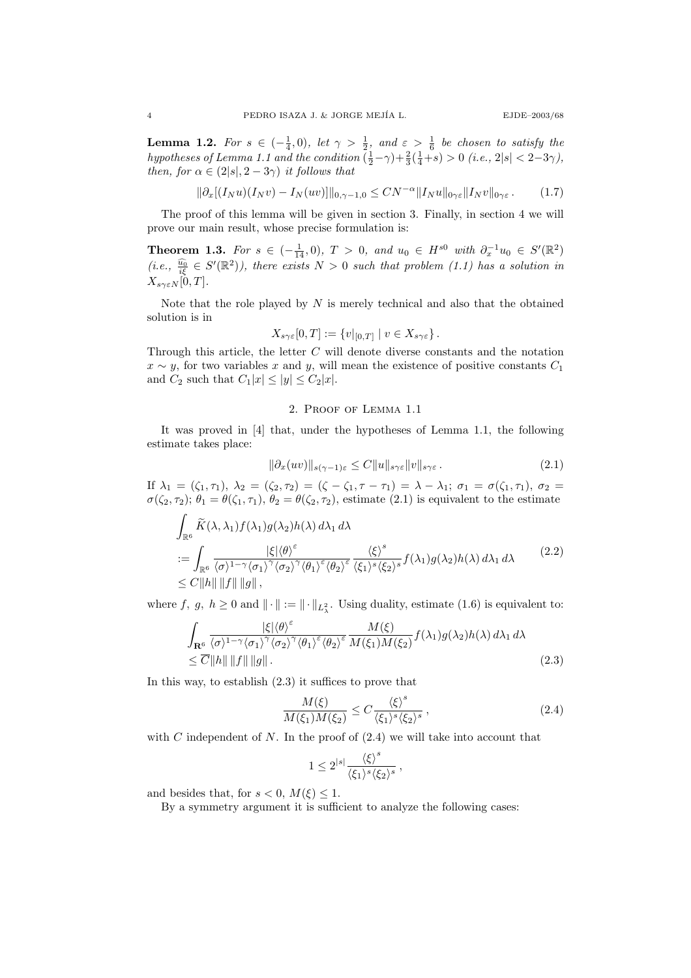**Lemma 1.2.** For  $s \in (-\frac{1}{4},0)$ , let  $\gamma > \frac{1}{2}$ , and  $\varepsilon > \frac{1}{6}$  be chosen to satisfy the hypotheses of Lemma 1.1 and the condition  $(\frac{1}{2} - \gamma) + \frac{2}{3}(\frac{1}{4} + s) > 0$  (i.e.,  $2|s| < 2-3\gamma$ ), then, for  $\alpha \in (2|s|, 2-3\gamma)$  it follows that

$$
\|\partial_x[(I_Nu)(I_Nv) - I_N(uv)]\|_{0,\gamma-1,0} \le CN^{-\alpha} \|I_Nu\|_{0\gamma\varepsilon} \|I_Nv\|_{0\gamma\varepsilon}.
$$
 (1.7)

The proof of this lemma will be given in section 3. Finally, in section 4 we will prove our main result, whose precise formulation is:

Theorem 1.3. For  $s \in (-\frac{1}{14}, 0)$ ,  $T > 0$ , and  $u_0 \in H^{s0}$  with  $\partial_x^{-1}u_0 \in S'(\mathbb{R}^2)$ (i.e.,  $\frac{\widehat{u_0}}{i\xi} \in S'(\mathbb{R}^2)$ ), there exists  $N > 0$  such that problem (1.1) has a solution in  $X_{s\gamma\epsilon N}[\dot{0},T].$ 

Note that the role played by  $N$  is merely technical and also that the obtained solution is in

$$
X_{s\gamma\varepsilon}[0,T] := \{v|_{[0,T]} \mid v \in X_{s\gamma\varepsilon}\}.
$$

Through this article, the letter C will denote diverse constants and the notation  $x \sim y$ , for two variables x and y, will mean the existence of positive constants  $C_1$ and  $C_2$  such that  $C_1|x| \le |y| \le C_2|x|$ .

#### 2. Proof of Lemma 1.1

It was proved in [4] that, under the hypotheses of Lemma 1.1, the following estimate takes place:

$$
\|\partial_x(uv)\|_{s(\gamma-1)\varepsilon} \le C \|u\|_{s\gamma\varepsilon} \|v\|_{s\gamma\varepsilon}.
$$
\n(2.1)

If  $\lambda_1 = (\zeta_1, \tau_1), \lambda_2 = (\zeta_2, \tau_2) = (\zeta - \zeta_1, \tau - \tau_1) = \lambda - \lambda_1; \sigma_1 = \sigma(\zeta_1, \tau_1), \sigma_2 =$  $\sigma(\zeta_2, \tau_2); \theta_1 = \theta(\zeta_1, \tau_1), \theta_2 = \theta(\zeta_2, \tau_2)$ , estimate (2.1) is equivalent to the estimate

$$
\int_{\mathbb{R}^6} \widetilde{K}(\lambda, \lambda_1) f(\lambda_1) g(\lambda_2) h(\lambda) d\lambda_1 d\lambda
$$
\n
$$
:= \int_{\mathbb{R}^6} \frac{|\xi| \langle \theta \rangle^{\varepsilon}}{\langle \sigma \rangle^{1-\gamma} \langle \sigma_1 \rangle^{\gamma} \langle \sigma_2 \rangle^{\gamma} \langle \theta_1 \rangle^{\varepsilon} \langle \theta_2 \rangle^{\varepsilon}} \frac{\langle \xi \rangle^s}{\langle \xi_1 \rangle^s \langle \xi_2 \rangle^s} f(\lambda_1) g(\lambda_2) h(\lambda) d\lambda_1 d\lambda \qquad (2.2)
$$
\n
$$
\leq C \|h\| \|f\| \|g\|,
$$

where f, g,  $h \geq 0$  and  $\|\cdot\| := \|\cdot\|_{L^2_{\lambda}}$ . Using duality, estimate (1.6) is equivalent to:

$$
\int_{\mathbf{R}^6} \frac{|\xi| \langle \theta \rangle^{\epsilon}}{\langle \sigma \rangle^{1-\gamma} \langle \sigma_1 \rangle^{\gamma} \langle \sigma_2 \rangle^{\gamma} \langle \theta_1 \rangle^{\epsilon} \langle \theta_2 \rangle^{\epsilon}} \frac{M(\xi)}{M(\xi_1) M(\xi_2)} f(\lambda_1) g(\lambda_2) h(\lambda) d\lambda_1 d\lambda
$$
\n
$$
\leq \overline{C} \|h\| \|f\| \|g\|.
$$
\n(2.3)

In this way, to establish (2.3) it suffices to prove that

$$
\frac{M(\xi)}{M(\xi_1)M(\xi_2)} \le C \frac{\langle \xi \rangle^s}{\langle \xi_1 \rangle^s \langle \xi_2 \rangle^s},\tag{2.4}
$$

with C independent of N. In the proof of  $(2.4)$  we will take into account that

$$
1 \leq 2^{|s|} \frac{\langle \xi \rangle^s}{\langle \xi_1 \rangle^s \langle \xi_2 \rangle^s} \,,
$$

and besides that, for  $s < 0$ ,  $M(\xi) \leq 1$ .

By a symmetry argument it is sufficient to analyze the following cases: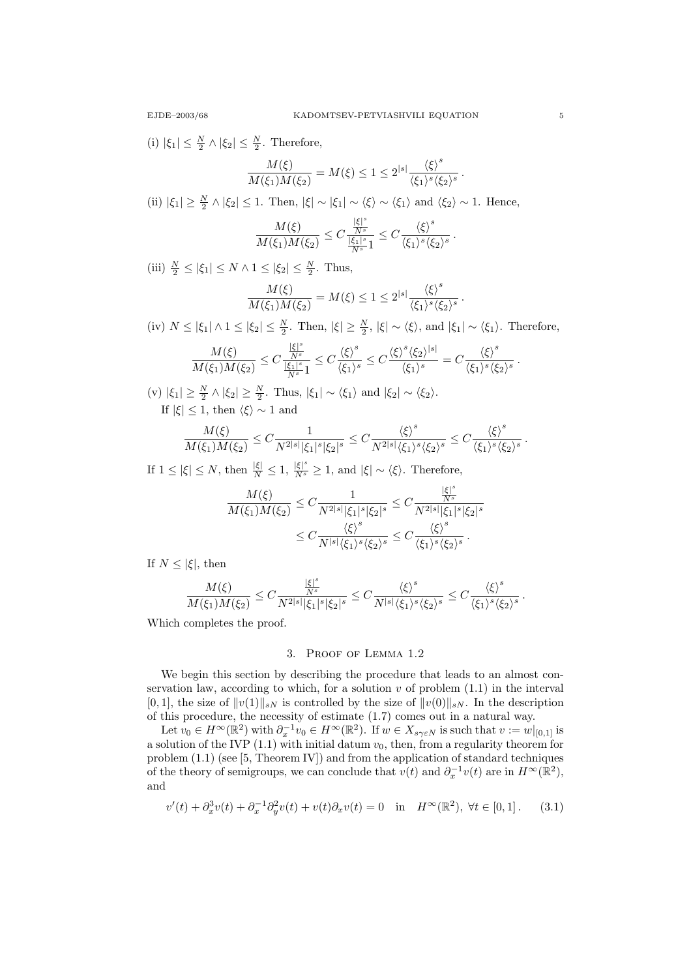(i)  $|\xi_1| \leq \frac{N}{2} \wedge |\xi_2| \leq \frac{N}{2}$ . Therefore,

$$
\frac{M(\xi)}{M(\xi_1)M(\xi_2)} = M(\xi) \le 1 \le 2^{|s|} \frac{\langle \xi \rangle^s}{\langle \xi_1 \rangle^s \langle \xi_2 \rangle^s}.
$$

(ii)  $|\xi_1| \geq \frac{N}{2} \wedge |\xi_2| \leq 1$ . Then,  $|\xi| \sim |\xi_1| \sim \langle \xi \rangle \sim \langle \xi_1 \rangle$  and  $\langle \xi_2 \rangle \sim 1$ . Hence,

$$
\frac{M(\xi)}{M(\xi_1)M(\xi_2)}\leq C\frac{\frac{|\xi|^s}{N^s}}{\frac{|\xi_1|^s}{N^s}1}\leq C\frac{\left\langle \xi\right\rangle^s}{\left\langle \xi_1\right\rangle^s\left\langle \xi_2\right\rangle^s} \, .
$$

(iii)  $\frac{N}{2} \le |\xi_1| \le N \wedge 1 \le |\xi_2| \le \frac{N}{2}$ . Thus,

$$
\frac{M(\xi)}{M(\xi_1)M(\xi_2)} = M(\xi) \le 1 \le 2^{|s|} \frac{\langle \xi \rangle^s}{\langle \xi_1 \rangle^s \langle \xi_2 \rangle^s}.
$$

(iv)  $N \leq |\xi_1| \wedge 1 \leq |\xi_2| \leq \frac{N}{2}$ . Then,  $|\xi| \geq \frac{N}{2}$ ,  $|\xi| \sim \langle \xi \rangle$ , and  $|\xi_1| \sim \langle \xi_1 \rangle$ . Therefore,

$$
\frac{M(\xi)}{M(\xi_1)M(\xi_2)}\leq C\frac{\frac{|\xi|^s}{N^s}}{\frac{|\xi_1|^s}{N^s}1}\leq C\frac{\left\langle\xi\right\rangle^s}{\left\langle\xi_1\right\rangle^s}\leq C\frac{\left\langle\xi\right\rangle^s\left\langle\xi_2\right\rangle^{|s|}}{\left\langle\xi_1\right\rangle^s}=C\frac{\left\langle\xi\right\rangle^s}{\left\langle\xi_1\right\rangle^s\left\langle\xi_2\right\rangle^s}\,.
$$

(v)  $|\xi_1| \geq \frac{N}{2} \wedge |\xi_2| \geq \frac{N}{2}$ . Thus,  $|\xi_1| \sim \langle \xi_1 \rangle$  and  $|\xi_2| \sim \langle \xi_2 \rangle$ . If  $|\xi| \leq 1$ , then  $\langle \xi \rangle \sim 1$  and

$$
\frac{M(\xi)}{M(\xi_1)M(\xi_2)}\leq C\frac{1}{N^{2\lvert s\rvert}|\xi_1|^s|\xi_2|^s}\leq C\frac{\left\langle\xi\right\rangle^s}{N^{2\lvert s\rvert}\left\langle\xi_1\right\rangle^s\left\langle\xi_2\right\rangle^s}\leq C\frac{\left\langle\xi\right\rangle^s}{\left\langle\xi_1\right\rangle^s\left\langle\xi_2\right\rangle^s}\,.
$$

If  $1 \leq |\xi| \leq N$ , then  $\frac{|\xi|}{N} \leq 1$ ,  $\frac{|\xi|^s}{N^s} \geq 1$ , and  $|\xi| \sim \langle \xi \rangle$ . Therefore,

$$
\frac{M(\xi)}{M(\xi_1)M(\xi_2)} \leq C \frac{1}{N^{2|s|}|\xi_1|^s |\xi_2|^s} \leq C \frac{\frac{|\xi|^s}{N^s}}{N^{2|s|}|\xi_1|^s |\xi_2|^s}
$$

$$
\leq C \frac{\langle \xi \rangle^s}{N^{|s|} \langle \xi_1 \rangle^s \langle \xi_2 \rangle^s} \leq C \frac{\langle \xi \rangle^s}{\langle \xi_1 \rangle^s \langle \xi_2 \rangle^s}.
$$

If  $N \leq |\xi|$ , then

$$
\frac{M(\xi)}{M(\xi_1)M(\xi_2)} \leq C \frac{\frac{|\xi|^s}{N^s}}{N^{2|s|}|\xi_1|^s|\xi_2|^s} \leq C \frac{\langle \xi \rangle^s}{N^{|s|} \langle \xi_1 \rangle^s \langle \xi_2 \rangle^s} \leq C \frac{\langle \xi \rangle^s}{\langle \xi_1 \rangle^s \langle \xi_2 \rangle^s} \,.
$$

Which completes the proof.

## 3. Proof of Lemma 1.2

We begin this section by describing the procedure that leads to an almost conservation law, according to which, for a solution  $v$  of problem  $(1.1)$  in the interval  $[0, 1]$ , the size of  $||v(1)||_{sN}$  is controlled by the size of  $||v(0)||_{sN}$ . In the description of this procedure, the necessity of estimate (1.7) comes out in a natural way.

Let  $v_0 \in H^{\infty}(\mathbb{R}^2)$  with  $\partial_x^{-1} v_0 \in H^{\infty}(\mathbb{R}^2)$ . If  $w \in X_{s\gamma \in N}$  is such that  $v := w|_{[0,1]}$  is a solution of the IVP  $(1.1)$  with initial datum  $v_0$ , then, from a regularity theorem for problem (1.1) (see [5, Theorem IV]) and from the application of standard techniques of the theory of semigroups, we can conclude that  $v(t)$  and  $\partial_x^{-1}v(t)$  are in  $H^{\infty}(\mathbb{R}^2)$ , and

$$
v'(t) + \partial_x^3 v(t) + \partial_x^{-1} \partial_y^2 v(t) + v(t) \partial_x v(t) = 0 \quad \text{in} \quad H^\infty(\mathbb{R}^2), \ \forall t \in [0, 1]. \tag{3.1}
$$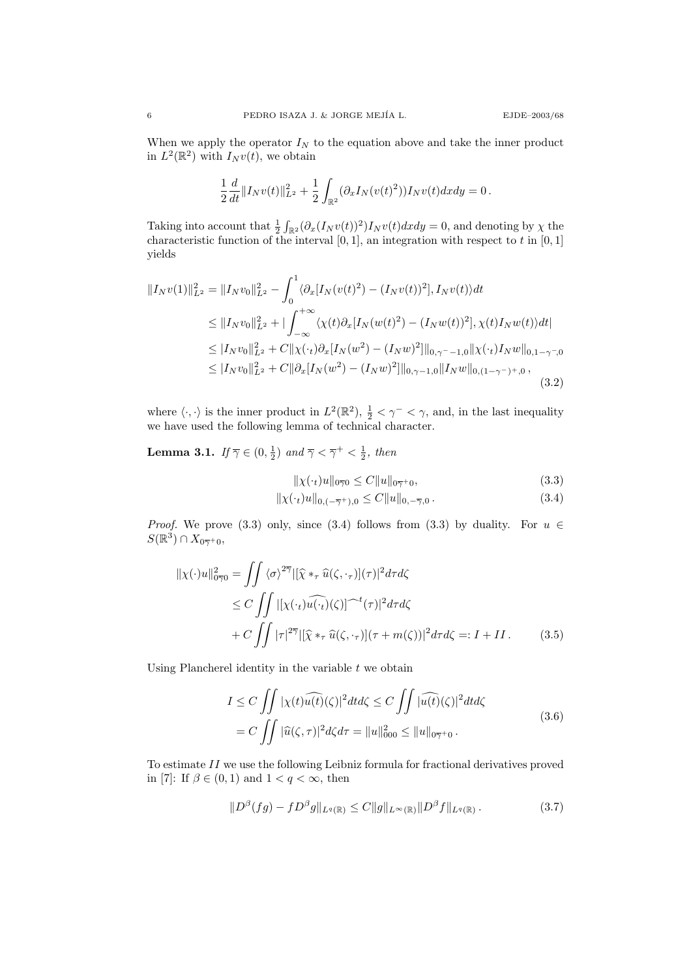When we apply the operator  $I_N$  to the equation above and take the inner product in  $L^2(\mathbb{R}^2)$  with  $I_N v(t)$ , we obtain

$$
\frac{1}{2}\frac{d}{dt}\|I_Nv(t)\|_{L^2}^2 + \frac{1}{2}\int_{\mathbb{R}^2} (\partial_x I_N(v(t)^2))I_Nv(t)dxdy = 0.
$$

Taking into account that  $\frac{1}{2} \int_{\mathbb{R}^2} (\partial_x (I_N v(t))^2) I_N v(t) dx dy = 0$ , and denoting by  $\chi$  the characteristic function of the interval  $[0, 1]$ , an integration with respect to t in  $[0, 1]$ yields

$$
||I_N v(1)||_{L^2}^2 = ||I_N v_0||_{L^2}^2 - \int_0^1 \langle \partial_x [I_N(v(t)^2) - (I_N v(t))^2], I_N v(t) \rangle dt
$$
  
\n
$$
\leq ||I_N v_0||_{L^2}^2 + |\int_{-\infty}^{+\infty} \langle \chi(t) \partial_x [I_N(w(t)^2) - (I_N w(t))^2], \chi(t) I_N w(t) \rangle dt|
$$
  
\n
$$
\leq |I_N v_0||_{L^2}^2 + C||\chi(\cdot_t)\partial_x [I_N(w^2) - (I_N w)^2]||_{0,\gamma^- - 1,0} ||\chi(\cdot_t) I_N w||_{0,1 - \gamma^-,0}
$$
  
\n
$$
\leq |I_N v_0||_{L^2}^2 + C||\partial_x [I_N(w^2) - (I_N w)^2]||_{0,\gamma^- - 1,0} ||I_N w||_{0,(1 - \gamma^-)^+,0},
$$
\n(3.2)

where  $\langle \cdot, \cdot \rangle$  is the inner product in  $L^2(\mathbb{R}^2), \frac{1}{2} < \gamma^- < \gamma$ , and, in the last inequality we have used the following lemma of technical character.

**Lemma 3.1.** If  $\overline{\gamma} \in (0, \frac{1}{2})$  and  $\overline{\gamma} < \overline{\gamma}^+ < \frac{1}{2}$ , then

$$
\|\chi(\cdot_t)u\|_{0\overline{\gamma}0} \le C\|u\|_{0\overline{\gamma}{}^+0},\tag{3.3}
$$

$$
\|\chi(\cdot_t)u\|_{0,(-\overline{\gamma}^+),0} \le C\|u\|_{0,-\overline{\gamma},0}.
$$
\n(3.4)

*Proof.* We prove (3.3) only, since (3.4) follows from (3.3) by duality. For  $u \in$  $S(\mathbb{R}^3)\cap X_{0\overline{\gamma}{}^+0},$ 

$$
\|\chi(\cdot)u\|_{0\overline{\gamma}0}^2 = \iint \langle \sigma \rangle^{2\overline{\gamma}} |[\hat{\chi} *_{\tau} \hat{u}(\zeta, \cdot_{\tau})](\tau)|^2 d\tau d\zeta
$$
  
\n
$$
\leq C \iint \left|[\chi(\cdot_t) \widehat{u(\cdot_t)}(\zeta)]^{-t}(\tau)|^2 d\tau d\zeta
$$
  
\n
$$
+ C \iint |\tau|^{2\overline{\gamma}} |[\hat{\chi} *_{\tau} \hat{u}(\zeta, \cdot_{\tau})](\tau + m(\zeta))|^2 d\tau d\zeta =: I + II.
$$
 (3.5)

Using Plancherel identity in the variable  $t$  we obtain

$$
I \leq C \iint |\chi(t)\widehat{u(t)}(\zeta)|^2 dt d\zeta \leq C \iint |\widehat{u(t)}(\zeta)|^2 dt d\zeta
$$
  
=  $C \iint |\widehat{u}(\zeta,\tau)|^2 d\zeta d\tau = ||u||_{000}^2 \leq ||u||_{0\overline{\gamma}+0}.$  (3.6)

To estimate II we use the following Leibniz formula for fractional derivatives proved in [7]: If  $\beta \in (0,1)$  and  $1 < q < \infty$ , then

$$
||D^{\beta}(fg) - f D^{\beta}g||_{L^{q}(\mathbb{R})} \leq C||g||_{L^{\infty}(\mathbb{R})}||D^{\beta}f||_{L^{q}(\mathbb{R})}. \tag{3.7}
$$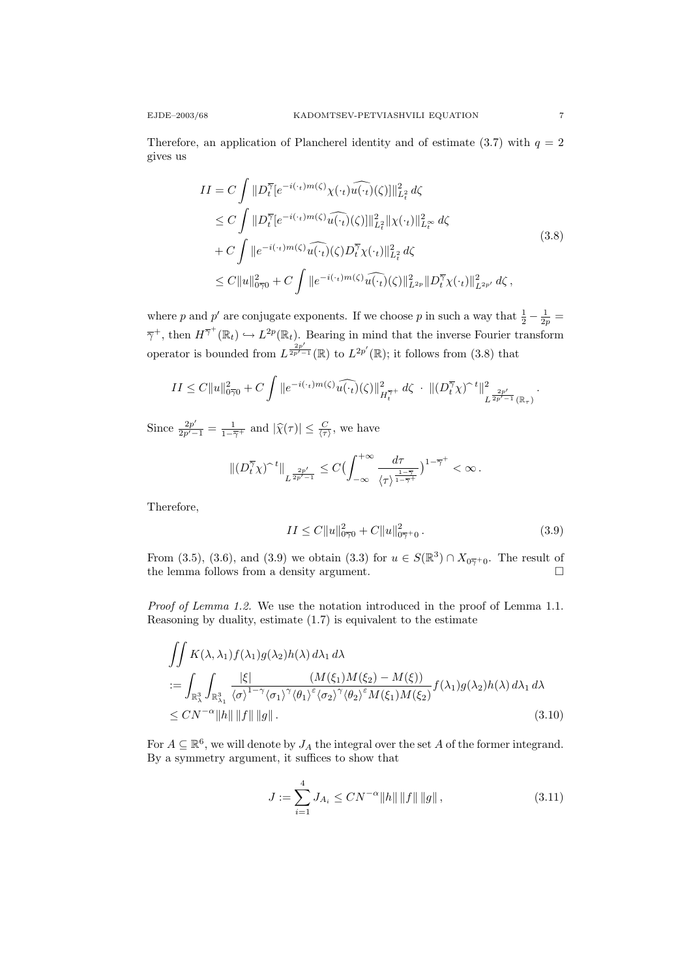Therefore, an application of Plancherel identity and of estimate (3.7) with  $q = 2$ gives us

$$
II = C \int ||D_t^{\overline{\gamma}}[e^{-i(\cdot_t)m(\zeta)}\chi(\cdot_t)\widehat{u(\cdot_t)}(\zeta)||_{L_t^2}^2 d\zeta
$$
  
\n
$$
\leq C \int ||D_t^{\overline{\gamma}}[e^{-i(\cdot_t)m(\zeta)}\widehat{u(\cdot_t)}(\zeta)||_{L_t^2}^2 ||\chi(\cdot_t)||_{L_t^{\infty}}^2 d\zeta
$$
  
\n
$$
+ C \int ||e^{-i(\cdot_t)m(\zeta)}\widehat{u(\cdot_t)}(\zeta)D_t^{\overline{\gamma}}\chi(\cdot_t)||_{L_t^2}^2 d\zeta
$$
  
\n
$$
\leq C ||u||_{0\overline{\gamma}0}^2 + C \int ||e^{-i(\cdot_t)m(\zeta)}\widehat{u(\cdot_t)}(\zeta)||_{L_t^2}^2 ||D_t^{\overline{\gamma}}\chi(\cdot_t)||_{L_{t^2}}^2 d\zeta,
$$
\n(3.8)

where p and p' are conjugate exponents. If we choose p in such a way that  $\frac{1}{2} - \frac{1}{2p} =$  $\overline{\gamma}^+$ , then  $H^{\overline{\gamma}^+}(\mathbb{R}_t) \hookrightarrow L^{2p}(\mathbb{R}_t)$ . Bearing in mind that the inverse Fourier transform operator is bounded from  $L^{\frac{2p'}{2p'-1}}(\mathbb{R})$  to  $L^{2p'}(\mathbb{R})$ ; it follows from (3.8) that

$$
II \leq C \|u\|_{0\overline{\gamma}0}^2 + C \int \|e^{-i(\cdot_t)m(\zeta)}\widehat{u(\cdot_t)}(\zeta)\|_{H_t^{\overline{\gamma}+}}^2 d\zeta \cdot \| (D_t^{\overline{\gamma}} \chi)^{-t} \|^2_{L^{\frac{2p'}{2p'-1}}(\mathbb{R}_\tau)}.
$$

Since  $\frac{2p'}{2p'-1} = \frac{1}{1-\overline{\gamma}+}$  and  $|\widehat{\chi}(\tau)| \leq \frac{C}{\langle \tau \rangle}$ , we have

$$
\|(D_t^{\overline{\gamma}} \chi)^{\sim t}\|_{L^{\frac{2p'}{2p'-1}}} \leq C \bigl(\int_{-\infty}^{+\infty} \frac{d\tau}{\langle \tau \rangle^{\frac{1-\overline{\gamma}}{1-\overline{\gamma}+}}} \bigr)^{1-\overline{\gamma}^+} < \infty \, .
$$

Therefore,

$$
II \le C \|u\|_{0\overline{\gamma}0}^2 + C \|u\|_{0\overline{\gamma}+0}^2. \tag{3.9}
$$

From (3.5), (3.6), and (3.9) we obtain (3.3) for  $u \in S(\mathbb{R}^3) \cap X_{0\overline{y}}$  for  $X_{0\overline{y}}$  The result of the lemma follows from a density argument.  $\hfill \Box$ 

Proof of Lemma 1.2. We use the notation introduced in the proof of Lemma 1.1. Reasoning by duality, estimate (1.7) is equivalent to the estimate

$$
\iint K(\lambda, \lambda_1) f(\lambda_1) g(\lambda_2) h(\lambda) d\lambda_1 d\lambda
$$
  
:= 
$$
\int_{\mathbb{R}^3_\lambda} \int_{\mathbb{R}^3_{\lambda_1}} \frac{|\xi|}{\langle \sigma \rangle^{1-\gamma} \langle \sigma_1 \rangle^{\gamma} \langle \theta_1 \rangle^{\varepsilon} \langle \sigma_2 \rangle^{\gamma} \langle \theta_2 \rangle^{\varepsilon} M(\xi_1) M(\xi_2)} f(\lambda_1) g(\lambda_2) h(\lambda) d\lambda_1 d\lambda
$$
  

$$
\leq C N^{-\alpha} \|h\| \|f\| \|g\|.
$$
 (3.10)

For  $A \subseteq \mathbb{R}^6$ , we will denote by  $J_A$  the integral over the set A of the former integrand. By a symmetry argument, it suffices to show that

$$
J := \sum_{i=1}^{4} J_{A_i} \le CN^{-\alpha} ||h|| \, ||f|| \, ||g|| \,, \tag{3.11}
$$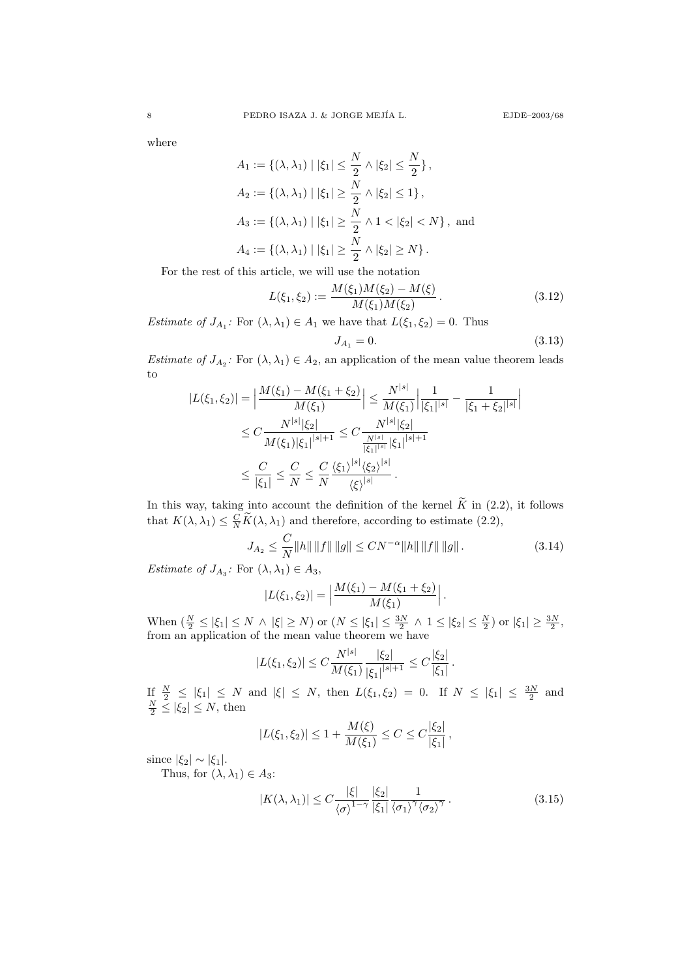where

$$
A_1 := \{ (\lambda, \lambda_1) \mid |\xi_1| \le \frac{N}{2} \land |\xi_2| \le \frac{N}{2} \},
$$
  
\n
$$
A_2 := \{ (\lambda, \lambda_1) \mid |\xi_1| \ge \frac{N}{2} \land |\xi_2| \le 1 \},
$$
  
\n
$$
A_3 := \{ (\lambda, \lambda_1) \mid |\xi_1| \ge \frac{N}{2} \land 1 < |\xi_2| < N \}, \text{ and}
$$
  
\n
$$
A_4 := \{ (\lambda, \lambda_1) \mid |\xi_1| \ge \frac{N}{2} \land |\xi_2| \ge N \}.
$$

For the rest of this article, we will use the notation

$$
L(\xi_1, \xi_2) := \frac{M(\xi_1)M(\xi_2) - M(\xi)}{M(\xi_1)M(\xi_2)}.
$$
\n(3.12)

*Estimate of*  $J_{A_1}$ : For  $(\lambda, \lambda_1) \in A_1$  we have that  $L(\xi_1, \xi_2) = 0$ . Thus

$$
J_{A_1} = 0.\t\t(3.13)
$$

Estimate of  $J_{A_2}$ : For  $(\lambda, \lambda_1) \in A_2$ , an application of the mean value theorem leads to

$$
|L(\xi_1, \xi_2)| = \left| \frac{M(\xi_1) - M(\xi_1 + \xi_2)}{M(\xi_1)} \right| \le \frac{N^{|s|}}{M(\xi_1)} \left| \frac{1}{|\xi_1|^{|s|}} - \frac{1}{|\xi_1 + \xi_2|^{|s|}} \right|
$$
  

$$
\le C \frac{N^{|s|} |\xi_2|}{M(\xi_1)|\xi_1|^{|s|+1}} \le C \frac{N^{|s|} |\xi_2|}{\frac{N^{|s|}}{|\xi_1|^{|s|}} |\xi_1|^{|s|+1}}
$$
  

$$
\le \frac{C}{|\xi_1|} \le \frac{C}{N} \le \frac{C}{N} \frac{\langle \xi_1 \rangle^{|s|} \langle \xi_2 \rangle^{|s|}}{\langle \xi \rangle^{|s|}}.
$$

In this way, taking into account the definition of the kernel  $\widetilde{K}$  in (2.2), it follows that  $K(\lambda, \lambda_1) \leq \frac{C}{N} \widetilde{K}(\lambda, \lambda_1)$  and therefore, according to estimate (2.2),

$$
J_{A_2} \le \frac{C}{N} \|h\| \|f\| \|g\| \le CN^{-\alpha} \|h\| \|f\| \|g\|.
$$
 (3.14)

Estimate of  $J_{A_3}$ : For  $(\lambda, \lambda_1) \in A_3$ ,

$$
|L(\xi_1,\xi_2)| = \left|\frac{M(\xi_1) - M(\xi_1 + \xi_2)}{M(\xi_1)}\right|.
$$

When  $\left(\frac{N}{2} \leq |\xi_1| \leq N \wedge |\xi| \geq N\right)$  or  $\left(N \leq |\xi_1| \leq \frac{3N}{2} \wedge 1 \leq |\xi_2| \leq \frac{N}{2}\right)$  or  $|\xi_1| \geq \frac{3N}{2}$ , from an application of the mean value theorem we have

$$
|L(\xi_1, \xi_2)| \le C \frac{N^{|s|}}{M(\xi_1)} \frac{|\xi_2|}{|\xi_1|^{|s|+1}} \le C \frac{|\xi_2|}{|\xi_1|}.
$$

If  $\frac{N}{2} \leq |\xi_1| \leq N$  and  $|\xi| \leq N$ , then  $L(\xi_1, \xi_2) = 0$ . If  $N \leq |\xi_1| \leq \frac{3N}{2}$  and  $\frac{N}{2} \leq |\xi_2| \leq N$ , then

$$
|L(\xi_1, \xi_2)| \le 1 + \frac{M(\xi)}{M(\xi_1)} \le C \le C \frac{|\xi_2|}{|\xi_1|},
$$

since  $|\xi_2| \sim |\xi_1|$ .

Thus, for  $(\lambda, \lambda_1) \in A_3$ :

$$
|K(\lambda, \lambda_1)| \le C \frac{|\xi|}{\langle \sigma \rangle^{1-\gamma}} \frac{|\xi_2|}{|\xi_1|} \frac{1}{\langle \sigma_1 \rangle^{\gamma} \langle \sigma_2 \rangle^{\gamma}}.
$$
 (3.15)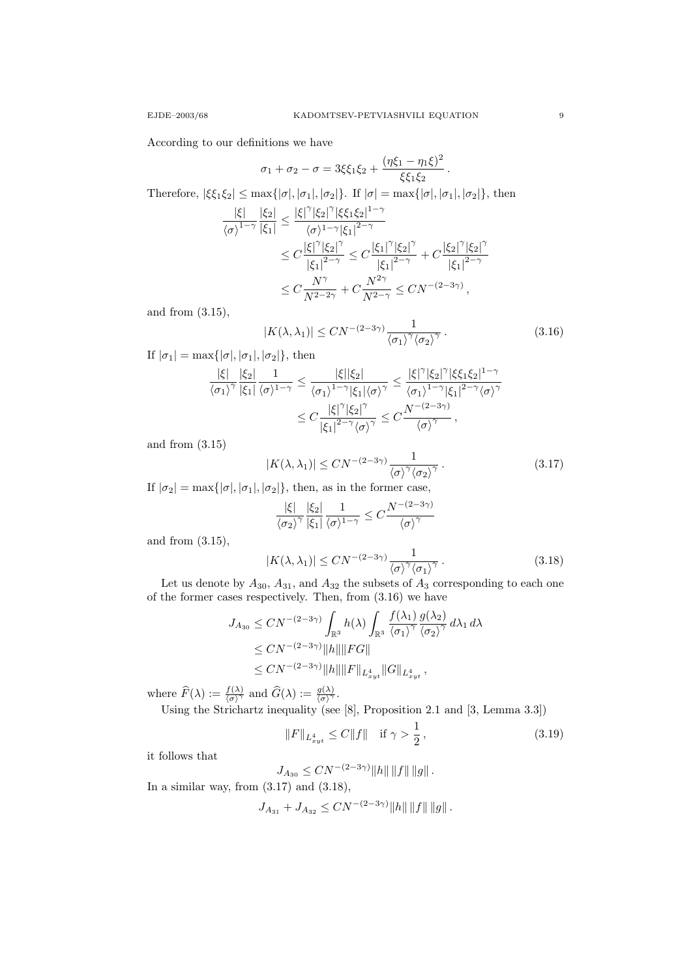According to our definitions we have

$$
\sigma_1 + \sigma_2 - \sigma = 3\xi \xi_1 \xi_2 + \frac{(\eta \xi_1 - \eta_1 \xi)^2}{\xi \xi_1 \xi_2}.
$$

Therefore,  $|\xi\xi_1\xi_2|\leq \max\{|\sigma|,|\sigma_1|,|\sigma_2|\}.$  If  $|\sigma|=\max\{|\sigma|,|\sigma_1|,|\sigma_2|\},$  then

$$
\frac{|\xi|}{\langle \sigma \rangle^{1-\gamma}} \frac{|\xi_2|}{|\xi_1|} \le \frac{|\xi|^{\gamma} |\xi_2|^{\gamma} |\xi \xi_1 \xi_2|^{1-\gamma}}{\langle \sigma \rangle^{1-\gamma} |\xi_1|^{2-\gamma}} \n\le C \frac{|\xi|^{\gamma} |\xi_2|^{\gamma}}{|\xi_1|^{2-\gamma}} \le C \frac{|\xi_1|^{\gamma} |\xi_2|^{\gamma}}{|\xi_1|^{2-\gamma}} + C \frac{|\xi_2|^{\gamma} |\xi_2|^{\gamma}}{|\xi_1|^{2-\gamma}} \n\le C \frac{N^{\gamma}}{N^{2-\gamma}} + C \frac{N^{2\gamma}}{N^{2-\gamma}} \le C N^{-(2-3\gamma)},
$$

and from (3.15),

$$
|K(\lambda, \lambda_1)| \le CN^{-(2-3\gamma)} \frac{1}{\langle \sigma_1 \rangle^{\gamma} \langle \sigma_2 \rangle^{\gamma}}.
$$
\n(3.16)

If  $|\sigma_1| = \max\{|\sigma|, |\sigma_1|, |\sigma_2|\},\$  then

$$
\begin{aligned} \frac{|\xi|}{\langle \sigma_1 \rangle^{\gamma}} \frac{|\xi_2|}{|\xi_1|} \frac{1}{\langle \sigma \rangle^{1-\gamma}} &\leq \frac{|\xi| |\xi_2|}{\langle \sigma_1 \rangle^{1-\gamma} |\xi_1| \langle \sigma \rangle^{\gamma}} \leq \frac{|\xi|^{\gamma} |\xi_2|^{\gamma} |\xi \xi_1 \xi_2|^{1-\gamma}}{\langle \sigma_1 \rangle^{1-\gamma} |\xi_1|^{2-\gamma} \langle \sigma \rangle^{\gamma}} \\ &\leq C \frac{|\xi|^{\gamma} |\xi_2|^{\gamma}}{|\xi_1|^{2-\gamma} \langle \sigma \rangle^{\gamma}} \leq C \frac{N^{-(2-3\gamma)}}{\langle \sigma \rangle^{\gamma}}, \end{aligned}
$$

and from (3.15)

$$
|K(\lambda, \lambda_1)| \le CN^{-(2-3\gamma)} \frac{1}{\langle \sigma \rangle^{\gamma} \langle \sigma_2 \rangle^{\gamma}}.
$$
\n(3.17)

If  $|\sigma_2| = \max\{|\sigma|, |\sigma_1|, |\sigma_2|\}$ , then, as in the former case,

$$
\frac{|\xi|}{\langle \sigma_2 \rangle^{\gamma}} \frac{|\xi_2|}{|\xi_1|} \frac{1}{\langle \sigma \rangle^{1-\gamma}} \leq C \frac{N^{-(2-3\gamma)}}{\langle \sigma \rangle^{\gamma}}
$$

and from (3.15),

$$
|K(\lambda, \lambda_1)| \le CN^{-(2-3\gamma)} \frac{1}{\langle \sigma \rangle^{\gamma} \langle \sigma_1 \rangle^{\gamma}}.
$$
\n(3.18)

Let us denote by  $A_{30}$ ,  $A_{31}$ , and  $A_{32}$  the subsets of  $A_3$  corresponding to each one of the former cases respectively. Then, from (3.16) we have

$$
J_{A_{30}} \le CN^{-(2-3\gamma)} \int_{\mathbb{R}^3} h(\lambda) \int_{\mathbb{R}^3} \frac{f(\lambda_1) g(\lambda_2)}{\langle \sigma_1 \rangle^{\gamma}} d\lambda_1 d\lambda
$$
  
\n
$$
\le CN^{-(2-3\gamma)} \|h\| \|FG\|
$$
  
\n
$$
\le CN^{-(2-3\gamma)} \|h\| \|F\|_{L_{xyt}^4} \|G\|_{L_{xyt}^4},
$$

where  $\widehat{F}(\lambda) := \frac{f(\lambda)}{\langle \sigma \rangle^{\gamma}}$  and  $\widehat{G}(\lambda) := \frac{g(\lambda)}{\langle \sigma \rangle^{\gamma}}$ .

Using the Strichartz inequality (see [8], Proposition 2.1 and [3, Lemma 3.3])

$$
||F||_{L_{xyt}^4} \le C||f|| \quad \text{if } \gamma > \frac{1}{2},\tag{3.19}
$$

it follows that

$$
J_{A_{30}} \leq C N^{-(2-3\gamma)} \|h\| \|f\| \|g\|.
$$

In a similar way, from  $(3.17)$  and  $(3.18)$ ,

$$
J_{A_{31}} + J_{A_{32}} \leq CN^{-(2-3\gamma)} \|h\| \|f\| \|g\|.
$$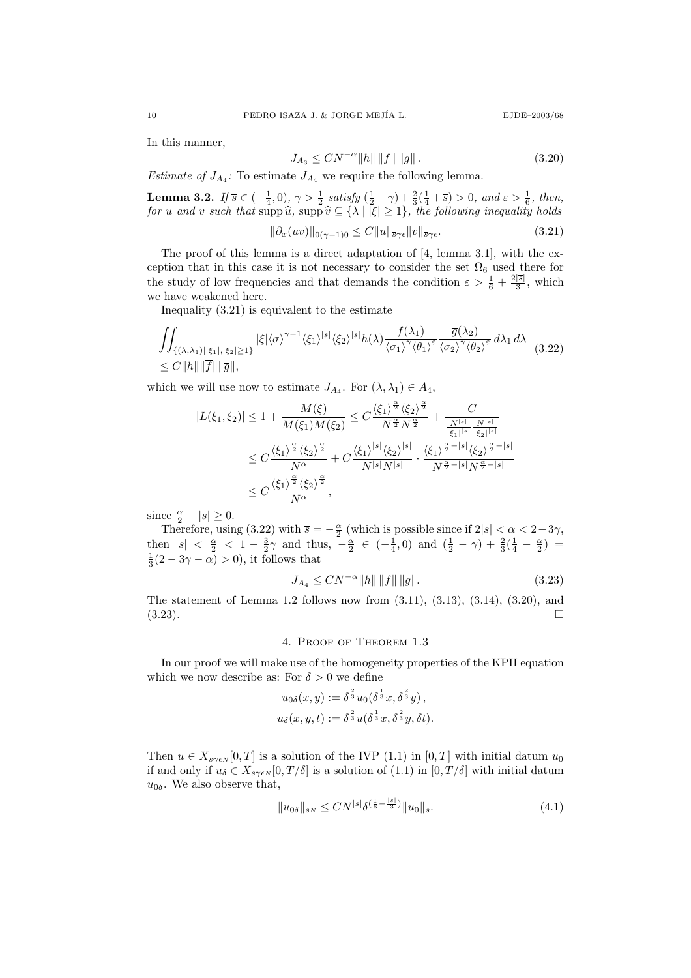In this manner,

$$
J_{A_3} \le CN^{-\alpha} \|h\| \|f\| \|g\|.
$$
\n(3.20)

*Estimate of*  $J_{A_4}$ : To estimate  $J_{A_4}$  we require the following lemma.

**Lemma 3.2.** If  $\overline{s} \in (-\frac{1}{4}, 0)$ ,  $\gamma > \frac{1}{2}$  satisfy  $(\frac{1}{2} - \gamma) + \frac{2}{3}(\frac{1}{4} + \overline{s}) > 0$ , and  $\varepsilon > \frac{1}{6}$ , then, for u and v such that supp  $\widehat{u}$ , supp  $\widehat{v} \subseteq \{\lambda \mid |\xi| \geq 1\}$ , the following inequality holds

$$
\|\partial_x(uv)\|_{0(\gamma-1)0} \le C \|u\|_{\overline{s}\gamma\epsilon} \|v\|_{\overline{s}\gamma\epsilon}.\tag{3.21}
$$

The proof of this lemma is a direct adaptation of [4, lemma 3.1], with the exception that in this case it is not necessary to consider the set  $\Omega_6$  used there for the study of low frequencies and that demands the condition  $\varepsilon > \frac{1}{6} + \frac{2|\overline{s}|}{3}$  $\frac{|s|}{3}$ , which we have weakened here.

Inequality (3.21) is equivalent to the estimate

$$
\iint_{\{(\lambda,\lambda_1)\mid |\xi_1|, |\xi_2|\geq 1\}} |\xi| \langle \sigma \rangle^{\gamma-1} \langle \xi_1 \rangle^{|\overline{s}|} \langle \xi_2 \rangle^{|\overline{s}|} h(\lambda) \frac{\overline{f}(\lambda_1)}{\langle \sigma_1 \rangle^{\gamma} \langle \theta_1 \rangle^{\epsilon}} \frac{\overline{g}(\lambda_2)}{\langle \sigma_2 \rangle^{\gamma} \langle \theta_2 \rangle^{\epsilon}} d\lambda_1 d\lambda
$$
\n
$$
\leq C \|h\| \|\overline{f}\| \|\overline{g}\|,
$$
\n(3.22)

which we will use now to estimate  $J_{A_4}$ . For  $(\lambda, \lambda_1) \in A_4$ ,

$$
\begin{aligned}|L(\xi_1,\xi_2)|&\leq 1+\frac{M(\xi)}{M(\xi_1)M(\xi_2)}\leq C\frac{\langle \xi_1\rangle^{\frac{\alpha}{2}}\langle \xi_2\rangle^{\frac{\alpha}{2}}}{N^{\frac{\alpha}{2}}N^{\frac{\alpha}{2}}}+\frac{C}{\frac{N^{|s|}}{||\xi_1|^{|s|}}\frac{N^{|s|}}{|\xi_2|^{|s|}}}\\ &\leq C\frac{\langle \xi_1\rangle^{\frac{\alpha}{2}}\langle \xi_2\rangle^{\frac{\alpha}{2}}}{N^{\alpha}}+C\frac{\langle \xi_1\rangle^{|s|}\langle \xi_2\rangle^{|s|}}{N^{|s|}N^{|s|}}\cdot\frac{\langle \xi_1\rangle^{\frac{\alpha}{2}-|s|}\langle \xi_2\rangle^{\frac{\alpha}{2}-|s|}}{N^{\frac{\alpha}{2}-|s|}N^{\frac{\alpha}{2}-|s|}}\\ &\leq C\frac{\langle \xi_1\rangle^{\frac{\alpha}{2}}\langle \xi_2\rangle^{\frac{\alpha}{2}}}{N^{\alpha}},\end{aligned}
$$

since  $\frac{\alpha}{2} - |s| \ge 0$ .

Therefore, using (3.22) with  $\bar{s} = -\frac{\alpha}{2}$  (which is possible since if  $2|s| < \alpha < 2-3\gamma$ , then  $|s| < \frac{\alpha}{2} < 1 - \frac{3}{2}\gamma$  and thus,  $-\frac{\alpha}{2} \in \left(-\frac{1}{4}, 0\right)$  and  $\left(\frac{1}{2} - \gamma\right) + \frac{2}{3}\left(\frac{1}{4} - \frac{\alpha}{2}\right) =$  $\frac{1}{3}(2-3\gamma-\alpha) > 0$ , it follows that

$$
J_{A_4} \le CN^{-\alpha} \|h\| \|f\| \|g\|.
$$
\n(3.23)

The statement of Lemma 1.2 follows now from (3.11), (3.13), (3.14), (3.20), and  $(3.23)$ .

### 4. Proof of Theorem 1.3

In our proof we will make use of the homogeneity properties of the KPII equation which we now describe as: For  $\delta > 0$  we define

$$
u_{0\delta}(x,y) := \delta^{\frac{2}{3}} u_0(\delta^{\frac{1}{3}}x, \delta^{\frac{2}{3}}y),
$$
  

$$
u_{\delta}(x,y,t) := \delta^{\frac{2}{3}} u(\delta^{\frac{1}{3}}x, \delta^{\frac{2}{3}}y, \delta t).
$$

Then  $u \in X_{s\gamma\epsilon N}[0, T]$  is a solution of the IVP (1.1) in [0, T] with initial datum  $u_0$ if and only if  $u_{\delta} \in X_{s\gamma\epsilon N}[0, T/\delta]$  is a solution of  $(1.1)$  in  $[0, T/\delta]$  with initial datum  $u_{0\delta}$ . We also observe that,

$$
||u_{0\delta}||_{s_N} \le CN^{|s|} \delta^{\left(\frac{1}{6} - \frac{|s|}{3}\right)} ||u_0||_s.
$$
\n(4.1)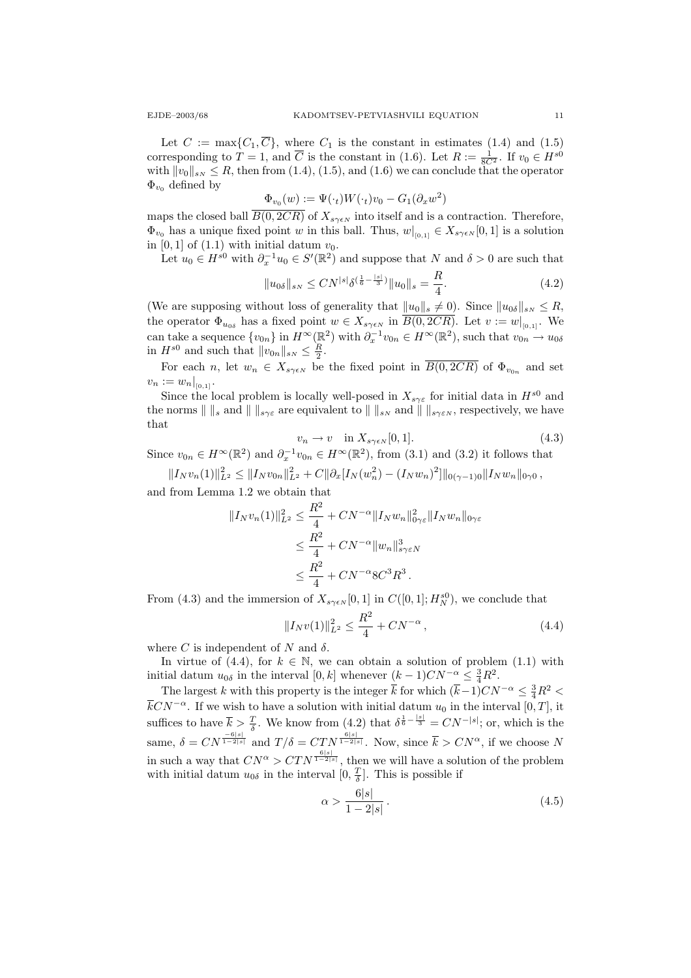Let  $C := \max\{C_1, \overline{C}\}\$ , where  $C_1$  is the constant in estimates (1.4) and (1.5) corresponding to  $T = 1$ , and  $\overline{C}$  is the constant in (1.6). Let  $R := \frac{1}{8C^2}$ . If  $v_0 \in H^{s0}$ with  $||v_0||_{SN} \leq R$ , then from (1.4), (1.5), and (1.6) we can conclude that the operator  $\Phi_{v_0}$  defined by

$$
\Phi_{v_0}(w) := \Psi(\cdot_t)W(\cdot_t)v_0 - G_1(\partial_x w^2)
$$

maps the closed ball  $\overline{B(0, 2CR)}$  of  $X_{s\gamma\epsilon N}$  into itself and is a contraction. Therefore,  $\Phi_{v_0}$  has a unique fixed point w in this ball. Thus,  $w|_{[0,1]} \in X_{s\gamma\epsilon N}[0,1]$  is a solution in  $[0, 1]$  of  $(1.1)$  with initial datum  $v_0$ .

Let  $u_0 \in H^{s0}$  with  $\partial_x^{-1} u_0 \in S'(\mathbb{R}^2)$  and suppose that N and  $\delta > 0$  are such that

$$
||u_{0\delta}||_{sN} \le CN^{|s|} \delta^{(\frac{1}{6} - \frac{|s|}{3})} ||u_0||_s = \frac{R}{4}.
$$
\n(4.2)

(We are supposing without loss of generality that  $||u_0||_s \neq 0$ ). Since  $||u_{0\delta}||_{sN} \leq R$ , the operator  $\Phi_{u_{0\delta}}$  has a fixed point  $w \in X_{s\gamma\epsilon N}$  in  $B(0, 2CR)$ . Let  $v := w|_{[0,1]}$ . We can take a sequence  $\{v_{0n}\}\$ in  $H^{\infty}(\mathbb{R}^2)$  with  $\partial_x^{-1}v_{0n} \in H^{\infty}(\mathbb{R}^2)$ , such that  $v_{0n} \to u_{0\delta}$ in  $H^{s0}$  and such that  $||v_{0n}||_{sN} \leq \frac{R}{2}$ .

For each n, let  $w_n \in X_{s\gamma\epsilon N}$  be the fixed point in  $B(0, 2CR)$  of  $\Phi_{v_{0n}}$  and set  $v_n := w_n|_{[0,1]}$ .

Since the local problem is locally well-posed in  $X_{s\gamma\varepsilon}$  for initial data in  $H^{s0}$  and the norms  $\| \cdot \|_{s}$  and  $\| \cdot \|_{s\gamma\varepsilon}$  are equivalent to  $\| \cdot \|_{sN}$  and  $\| \cdot \|_{s\gamma\varepsilon N}$ , respectively, we have that

$$
v_n \to v \quad \text{in } X_{s\gamma\epsilon N}[0,1].\tag{4.3}
$$

Since  $v_{0n} \in H^{\infty}(\mathbb{R}^2)$  and  $\partial_x^{-1}v_{0n} \in H^{\infty}(\mathbb{R}^2)$ , from (3.1) and (3.2) it follows that

 $||I_Nv_n(1)||_{L^2}^2 \leq ||I_Nv_{0n}||_{L^2}^2 + C||\partial_x[I_N(w_n^2) - (I_Nw_n)^2]||_{0(\gamma-1)0}||I_Nw_n||_{0\gamma_0},$ 

and from Lemma 1.2 we obtain that

$$
||I_N v_n(1)||_{L^2}^2 \le \frac{R^2}{4} + CN^{-\alpha} ||I_N w_n||_{0\gamma\varepsilon}^2 ||I_N w_n||_{0\gamma\varepsilon}^2
$$
  

$$
\le \frac{R^2}{4} + CN^{-\alpha} ||w_n||_{s\gamma\varepsilon N}^3
$$
  

$$
\le \frac{R^2}{4} + CN^{-\alpha} 8C^3 R^3.
$$

From (4.3) and the immersion of  $X_{s\gamma\epsilon N}[0,1]$  in  $C([0, 1]; H_N^{s0})$ , we conclude that

$$
||I_N v(1)||_{L^2}^2 \le \frac{R^2}{4} + CN^{-\alpha}, \tag{4.4}
$$

where C is independent of N and  $\delta$ .

In virtue of (4.4), for  $k \in \mathbb{N}$ , we can obtain a solution of problem (1.1) with initial datum  $u_{0\delta}$  in the interval  $[0, k]$  whenever  $(k-1)CN^{-\alpha} \leq \frac{3}{4}R^2$ .

The largest k with this property is the integer  $\bar{k}$  for which  $(\bar{k}-1)CN^{-\alpha} \leq \frac{3}{4}R^2$  $\overline{k}CN^{-\alpha}$ . If we wish to have a solution with initial datum  $u_0$  in the interval  $[0, T]$ , it suffices to have  $\bar{k} > \frac{T}{\delta}$ . We know from (4.2) that  $\delta^{\frac{1}{6} - \frac{|s|}{3}} = CN^{-|s|}$ ; or, which is the same,  $\delta = CN^{\frac{-6|s|}{1-2|s|}}$  and  $T/\delta = CTN^{\frac{6|s|}{1-2|s|}}$ . Now, since  $\overline{k} > CN^{\alpha}$ , if we choose N in such a way that  $CN^{\alpha} > CTN^{\frac{6|s|}{1-2|s|}},$  then we will have a solution of the problem with initial datum  $u_{0\delta}$  in the interval  $[0, \frac{T}{\delta}]$ . This is possible if

$$
\alpha > \frac{6|s|}{1 - 2|s|} \,. \tag{4.5}
$$